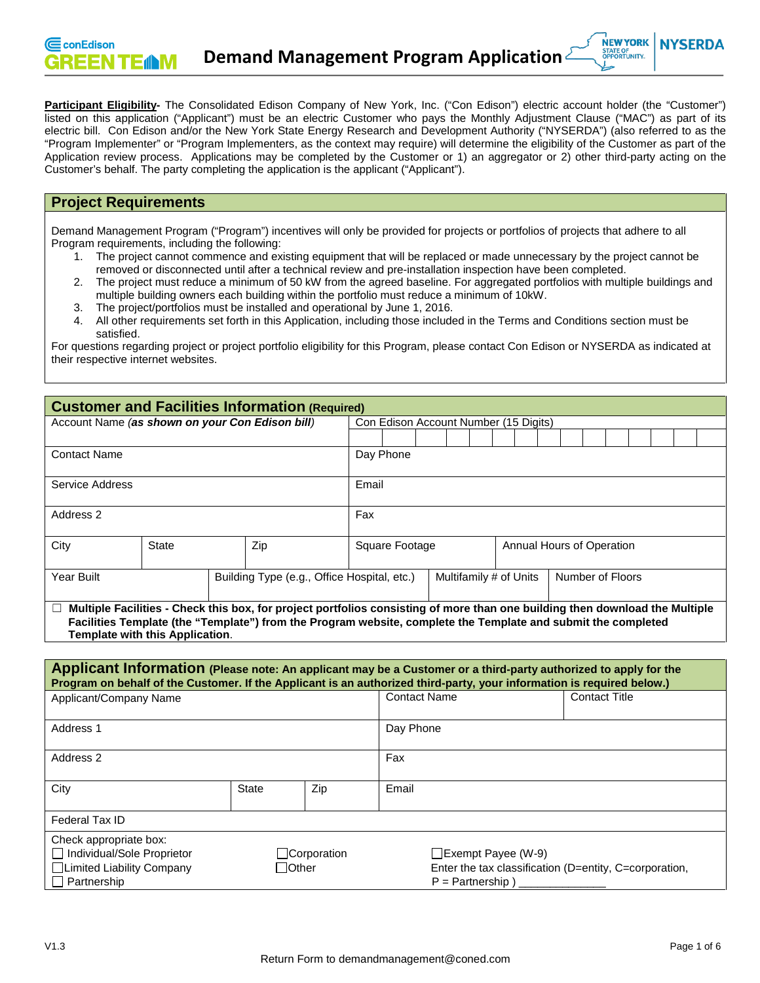Participant Eligibility- The Consolidated Edison Company of New York, Inc. ("Con Edison") electric account holder (the "Customer") listed on this application ("Applicant") must be an electric Customer who pays the Monthly Adjustment Clause ("MAC") as part of its electric bill. Con Edison and/or the New York State Energy Research and Development Authority ("NYSERDA") (also referred to as the "Program Implementer" or "Program Implementers, as the context may require) will determine the eligibility of the Customer as part of the Application review process. Applications may be completed by the Customer or 1) an aggregator or 2) other third-party acting on the Customer's behalf. The party completing the application is the applicant ("Applicant").

## **Project Requirements**

Demand Management Program ("Program") incentives will only be provided for projects or portfolios of projects that adhere to all Program requirements, including the following:

- 1. The project cannot commence and existing equipment that will be replaced or made unnecessary by the project cannot be removed or disconnected until after a technical review and pre-installation inspection have been completed.
- 2. The project must reduce a minimum of 50 kW from the agreed baseline. For aggregated portfolios with multiple buildings and multiple building owners each building within the portfolio must reduce a minimum of 10kW.
- 3. The project/portfolios must be installed and operational by June 1, 2016.
- 4. All other requirements set forth in this Application, including those included in the Terms and Conditions section must be satisfied.

For questions regarding project or project portfolio eligibility for this Program, please contact Con Edison or NYSERDA as indicated at their respective internet websites.

| <b>Customer and Facilities Information (Required)</b>                                                                                                                                                                                                                                 |              |                                                    |                                       |           |  |  |  |  |  |  |  |  |  |  |  |  |
|---------------------------------------------------------------------------------------------------------------------------------------------------------------------------------------------------------------------------------------------------------------------------------------|--------------|----------------------------------------------------|---------------------------------------|-----------|--|--|--|--|--|--|--|--|--|--|--|--|
| Account Name (as shown on your Con Edison bill)                                                                                                                                                                                                                                       |              |                                                    | Con Edison Account Number (15 Digits) |           |  |  |  |  |  |  |  |  |  |  |  |  |
|                                                                                                                                                                                                                                                                                       |              |                                                    |                                       |           |  |  |  |  |  |  |  |  |  |  |  |  |
| <b>Contact Name</b>                                                                                                                                                                                                                                                                   |              |                                                    |                                       | Day Phone |  |  |  |  |  |  |  |  |  |  |  |  |
| Service Address                                                                                                                                                                                                                                                                       |              |                                                    | Email                                 |           |  |  |  |  |  |  |  |  |  |  |  |  |
| Address 2                                                                                                                                                                                                                                                                             |              |                                                    | Fax                                   |           |  |  |  |  |  |  |  |  |  |  |  |  |
| City                                                                                                                                                                                                                                                                                  | <b>State</b> | Zip<br>Square Footage<br>Annual Hours of Operation |                                       |           |  |  |  |  |  |  |  |  |  |  |  |  |
| Number of Floors<br>Year Built<br>Building Type (e.g., Office Hospital, etc.)<br>Multifamily # of Units                                                                                                                                                                               |              |                                                    |                                       |           |  |  |  |  |  |  |  |  |  |  |  |  |
| Multiple Facilities - Check this box, for project portfolios consisting of more than one building then download the Multiple<br>ш<br>Facilities Template (the "Template") from the Program website, complete the Template and submit the completed<br>Template with this Application. |              |                                                    |                                       |           |  |  |  |  |  |  |  |  |  |  |  |  |

| Applicant Information (Please note: An applicant may be a Customer or a third-party authorized to apply for the<br>Program on behalf of the Customer. If the Applicant is an authorized third-party, your information is required below.) |              |              |                             |                           |                                                        |  |  |  |
|-------------------------------------------------------------------------------------------------------------------------------------------------------------------------------------------------------------------------------------------|--------------|--------------|-----------------------------|---------------------------|--------------------------------------------------------|--|--|--|
| Applicant/Company Name                                                                                                                                                                                                                    |              |              | <b>Contact Name</b>         |                           | <b>Contact Title</b>                                   |  |  |  |
| Address 1                                                                                                                                                                                                                                 |              |              | Day Phone                   |                           |                                                        |  |  |  |
| Address 2                                                                                                                                                                                                                                 |              |              | Fax                         |                           |                                                        |  |  |  |
| City                                                                                                                                                                                                                                      | <b>State</b> | Zip          | Email                       |                           |                                                        |  |  |  |
| Federal Tax ID                                                                                                                                                                                                                            |              |              |                             |                           |                                                        |  |  |  |
| Check appropriate box:<br>□ Individual/Sole Proprietor<br>□Limited Liability Company<br>$\Box$ Partnership                                                                                                                                | $\Box$ Other | □Corporation | $P =$ Partnership $\lambda$ | $\Box$ Exempt Payee (W-9) | Enter the tax classification (D=entity, C=corporation, |  |  |  |

**NYSERDA**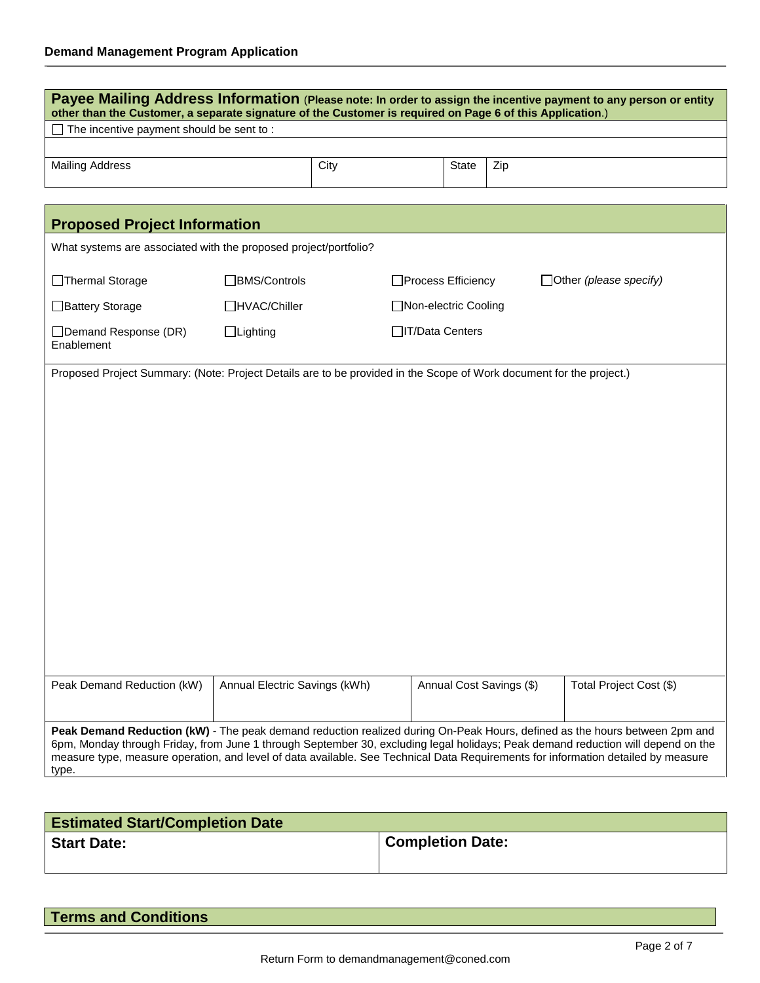| Payee Mailing Address Information (Please note: In order to assign the incentive payment to any person or entity<br>other than the Customer, a separate signature of the Customer is required on Page 6 of this Application.) |                               |      |                       |       |                          |                                                                                                                                                                                                                                                                                                                                                                                                     |  |  |
|-------------------------------------------------------------------------------------------------------------------------------------------------------------------------------------------------------------------------------|-------------------------------|------|-----------------------|-------|--------------------------|-----------------------------------------------------------------------------------------------------------------------------------------------------------------------------------------------------------------------------------------------------------------------------------------------------------------------------------------------------------------------------------------------------|--|--|
| The incentive payment should be sent to:                                                                                                                                                                                      |                               |      |                       |       |                          |                                                                                                                                                                                                                                                                                                                                                                                                     |  |  |
| <b>Mailing Address</b>                                                                                                                                                                                                        |                               | City |                       | State | Zip                      |                                                                                                                                                                                                                                                                                                                                                                                                     |  |  |
| <b>Proposed Project Information</b>                                                                                                                                                                                           |                               |      |                       |       |                          |                                                                                                                                                                                                                                                                                                                                                                                                     |  |  |
| What systems are associated with the proposed project/portfolio?                                                                                                                                                              |                               |      |                       |       |                          |                                                                                                                                                                                                                                                                                                                                                                                                     |  |  |
| □Thermal Storage                                                                                                                                                                                                              | □BMS/Controls                 |      | □Process Efficiency   |       |                          | $\Box$ Other (please specify)                                                                                                                                                                                                                                                                                                                                                                       |  |  |
| □Battery Storage                                                                                                                                                                                                              | □HVAC/Chiller                 |      | □Non-electric Cooling |       |                          |                                                                                                                                                                                                                                                                                                                                                                                                     |  |  |
| □ Demand Response (DR)<br>Enablement                                                                                                                                                                                          | $\Box$ Lighting               |      | □IT/Data Centers      |       |                          |                                                                                                                                                                                                                                                                                                                                                                                                     |  |  |
| Proposed Project Summary: (Note: Project Details are to be provided in the Scope of Work document for the project.)                                                                                                           |                               |      |                       |       |                          |                                                                                                                                                                                                                                                                                                                                                                                                     |  |  |
| Peak Demand Reduction (kW)                                                                                                                                                                                                    | Annual Electric Savings (kWh) |      |                       |       | Annual Cost Savings (\$) | Total Project Cost (\$)                                                                                                                                                                                                                                                                                                                                                                             |  |  |
| type.                                                                                                                                                                                                                         |                               |      |                       |       |                          | Peak Demand Reduction (kW) - The peak demand reduction realized during On-Peak Hours, defined as the hours between 2pm and<br>6pm, Monday through Friday, from June 1 through September 30, excluding legal holidays; Peak demand reduction will depend on the<br>measure type, measure operation, and level of data available. See Technical Data Requirements for information detailed by measure |  |  |

| <b>Estimated Start/Completion Date</b> |                         |
|----------------------------------------|-------------------------|
| <b>Start Date:</b>                     | <b>Completion Date:</b> |

| <b>Terms and Conditions</b> |  |
|-----------------------------|--|
|-----------------------------|--|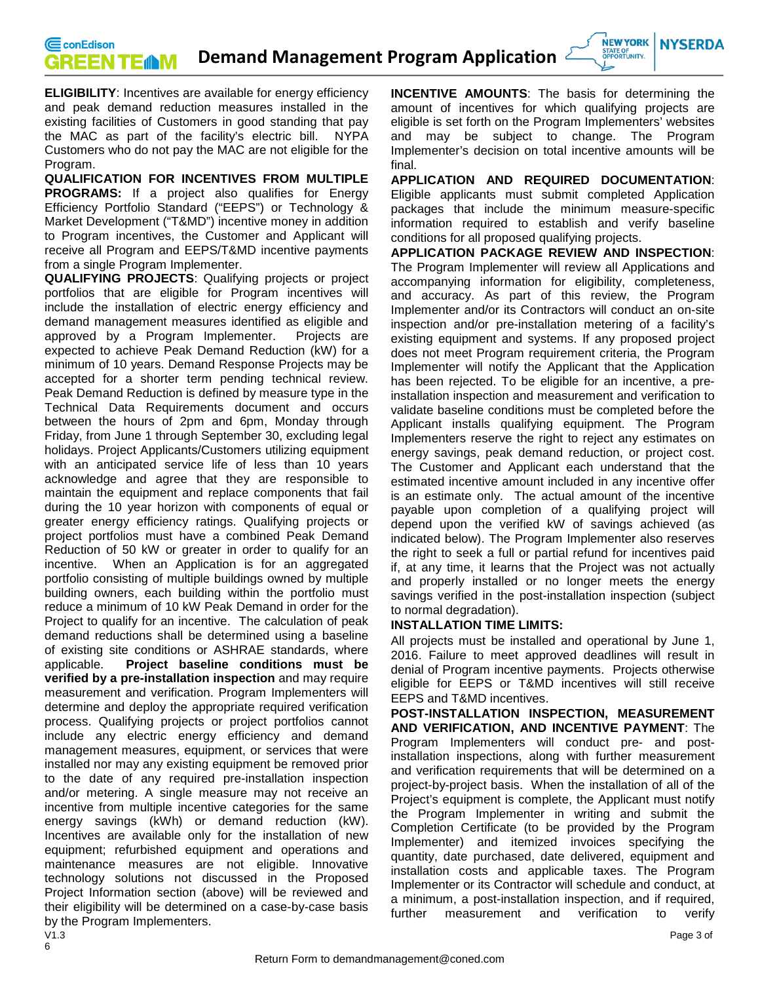**NEW YORK NYSERDA** STATE OF<br>OPPORTUNITY.

**ELIGIBILITY**: Incentives are available for energy efficiency and peak demand reduction measures installed in the existing facilities of Customers in good standing that pay the MAC as part of the facility's electric bill. NYPA Customers who do not pay the MAC are not eligible for the Program.

**QUALIFICATION FOR INCENTIVES FROM MULTIPLE PROGRAMS:** If a project also qualifies for Energy Efficiency Portfolio Standard ("EEPS") or Technology & Market Development ("T&MD") incentive money in addition to Program incentives, the Customer and Applicant will receive all Program and EEPS/T&MD incentive payments from a single Program Implementer.

**QUALIFYING PROJECTS**: Qualifying projects or project portfolios that are eligible for Program incentives will include the installation of electric energy efficiency and demand management measures identified as eligible and approved by a Program Implementer. Projects are expected to achieve Peak Demand Reduction (kW) for a minimum of 10 years. Demand Response Projects may be accepted for a shorter term pending technical review. Peak Demand Reduction is defined by measure type in the Technical Data Requirements document and occurs between the hours of 2pm and 6pm, Monday through Friday, from June 1 through September 30, excluding legal holidays. Project Applicants/Customers utilizing equipment with an anticipated service life of less than 10 years acknowledge and agree that they are responsible to maintain the equipment and replace components that fail during the 10 year horizon with components of equal or greater energy efficiency ratings. Qualifying projects or project portfolios must have a combined Peak Demand Reduction of 50 kW or greater in order to qualify for an incentive. When an Application is for an aggregated portfolio consisting of multiple buildings owned by multiple building owners, each building within the portfolio must reduce a minimum of 10 kW Peak Demand in order for the Project to qualify for an incentive. The calculation of peak demand reductions shall be determined using a baseline of existing site conditions or ASHRAE standards, where applicable. **Project baseline conditions must be verified by a pre-installation inspection** and may require measurement and verification. Program Implementers will determine and deploy the appropriate required verification process. Qualifying projects or project portfolios cannot include any electric energy efficiency and demand management measures, equipment, or services that were installed nor may any existing equipment be removed prior to the date of any required pre-installation inspection and/or metering. A single measure may not receive an incentive from multiple incentive categories for the same energy savings (kWh) or demand reduction (kW). Incentives are available only for the installation of new equipment; refurbished equipment and operations and maintenance measures are not eligible. Innovative technology solutions not discussed in the Proposed Project Information section (above) will be reviewed and their eligibility will be determined on a case-by-case basis by the Program Implementers.<br>V1.3

**INCENTIVE AMOUNTS**: The basis for determining the amount of incentives for which qualifying projects are eligible is set forth on the Program Implementers' websites and may be subject to change. The Program Implementer's decision on total incentive amounts will be final.

**APPLICATION AND REQUIRED DOCUMENTATION**: Eligible applicants must submit completed Application packages that include the minimum measure-specific information required to establish and verify baseline conditions for all proposed qualifying projects.

**APPLICATION PACKAGE REVIEW AND INSPECTION**: The Program Implementer will review all Applications and accompanying information for eligibility, completeness, and accuracy. As part of this review, the Program Implementer and/or its Contractors will conduct an on-site inspection and/or pre-installation metering of a facility's existing equipment and systems. If any proposed project does not meet Program requirement criteria, the Program Implementer will notify the Applicant that the Application has been rejected. To be eligible for an incentive, a preinstallation inspection and measurement and verification to validate baseline conditions must be completed before the Applicant installs qualifying equipment. The Program Implementers reserve the right to reject any estimates on energy savings, peak demand reduction, or project cost. The Customer and Applicant each understand that the estimated incentive amount included in any incentive offer is an estimate only. The actual amount of the incentive payable upon completion of a qualifying project will depend upon the verified kW of savings achieved (as indicated below). The Program Implementer also reserves the right to seek a full or partial refund for incentives paid if, at any time, it learns that the Project was not actually and properly installed or no longer meets the energy savings verified in the post-installation inspection (subject to normal degradation).

## **INSTALLATION TIME LIMITS:**

All projects must be installed and operational by June 1, 2016. Failure to meet approved deadlines will result in denial of Program incentive payments. Projects otherwise eligible for EEPS or T&MD incentives will still receive EEPS and T&MD incentives.

**POST-INSTALLATION INSPECTION, MEASUREMENT AND VERIFICATION, AND INCENTIVE PAYMENT**: The Program Implementers will conduct pre- and postinstallation inspections, along with further measurement and verification requirements that will be determined on a project-by-project basis. When the installation of all of the Project's equipment is complete, the Applicant must notify the Program Implementer in writing and submit the Completion Certificate (to be provided by the Program Implementer) and itemized invoices specifying the quantity, date purchased, date delivered, equipment and installation costs and applicable taxes. The Program Implementer or its Contractor will schedule and conduct, at a minimum, a post-installation inspection, and if required, further measurement and verification to verify

6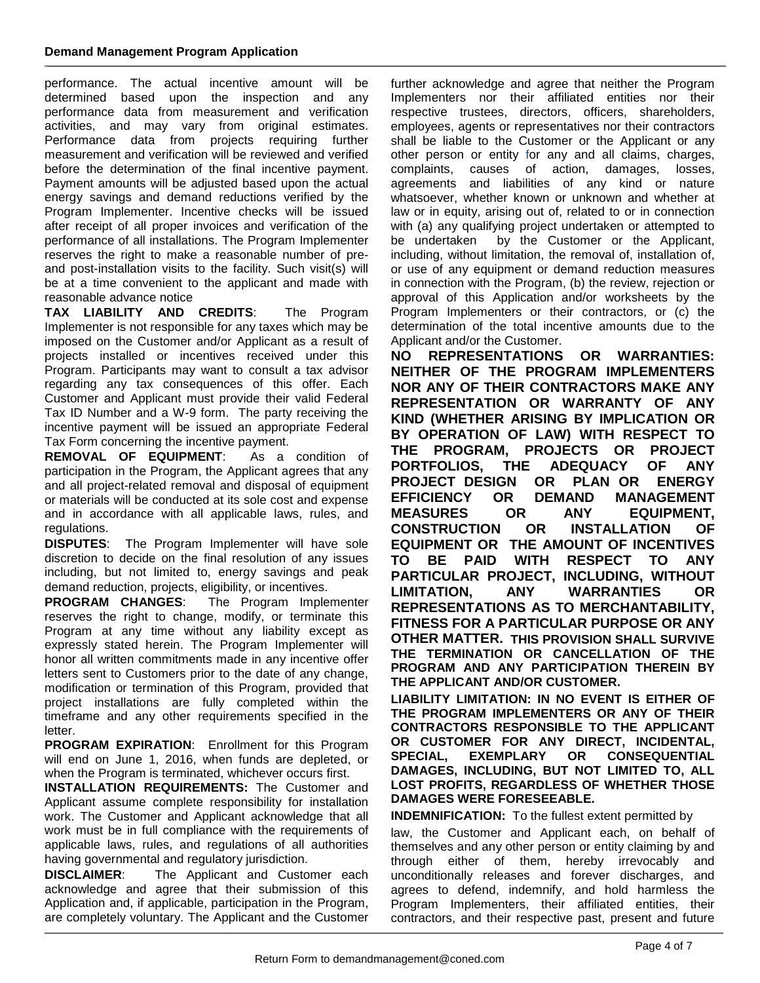performance. The actual incentive amount will be determined based upon the inspection and any performance data from measurement and verification activities, and may vary from original estimates. Performance data from projects requiring further measurement and verification will be reviewed and verified before the determination of the final incentive payment. Payment amounts will be adjusted based upon the actual energy savings and demand reductions verified by the Program Implementer. Incentive checks will be issued after receipt of all proper invoices and verification of the performance of all installations. The Program Implementer reserves the right to make a reasonable number of preand post-installation visits to the facility. Such visit(s) will be at a time convenient to the applicant and made with reasonable advance notice

**TAX LIABILITY AND CREDITS**: The Program Implementer is not responsible for any taxes which may be imposed on the Customer and/or Applicant as a result of projects installed or incentives received under this Program. Participants may want to consult a tax advisor regarding any tax consequences of this offer. Each Customer and Applicant must provide their valid Federal Tax ID Number and a W-9 form. The party receiving the incentive payment will be issued an appropriate Federal Tax Form concerning the incentive payment.

**REMOVAL OF EQUIPMENT**: As a condition of participation in the Program, the Applicant agrees that any and all project-related removal and disposal of equipment or materials will be conducted at its sole cost and expense and in accordance with all applicable laws, rules, and regulations.

**DISPUTES:** The Program Implementer will have sole discretion to decide on the final resolution of any issues including, but not limited to, energy savings and peak demand reduction, projects, eligibility, or incentives.

**PROGRAM CHANGES**: The Program Implementer reserves the right to change, modify, or terminate this Program at any time without any liability except as expressly stated herein. The Program Implementer will honor all written commitments made in any incentive offer letters sent to Customers prior to the date of any change, modification or termination of this Program, provided that project installations are fully completed within the timeframe and any other requirements specified in the letter.

**PROGRAM EXPIRATION**: Enrollment for this Program will end on June 1, 2016, when funds are depleted, or when the Program is terminated, whichever occurs first.

**INSTALLATION REQUIREMENTS:** The Customer and Applicant assume complete responsibility for installation work. The Customer and Applicant acknowledge that all work must be in full compliance with the requirements of applicable laws, rules, and regulations of all authorities having governmental and regulatory jurisdiction.

**DISCLAIMER**: The Applicant and Customer each acknowledge and agree that their submission of this Application and, if applicable, participation in the Program, are completely voluntary. The Applicant and the Customer further acknowledge and agree that neither the Program Implementers nor their affiliated entities nor their respective trustees, directors, officers, shareholders, employees, agents or representatives nor their contractors shall be liable to the Customer or the Applicant or any other person or entity for any and all claims, charges, complaints, causes of action, damages, losses, agreements and liabilities of any kind or nature whatsoever, whether known or unknown and whether at law or in equity, arising out of, related to or in connection with (a) any qualifying project undertaken or attempted to be undertaken by the Customer or the Applicant, including, without limitation, the removal of, installation of, or use of any equipment or demand reduction measures in connection with the Program, (b) the review, rejection or approval of this Application and/or worksheets by the Program Implementers or their contractors, or (c) the determination of the total incentive amounts due to the Applicant and/or the Customer.

**NO REPRESENTATIONS OR WARRANTIES: NEITHER OF THE PROGRAM IMPLEMENTERS NOR ANY OF THEIR CONTRACTORS MAKE ANY REPRESENTATION OR WARRANTY OF ANY KIND (WHETHER ARISING BY IMPLICATION OR BY OPERATION OF LAW) WITH RESPECT TO THE PROGRAM, PROJECTS OR PROJECT PORTFOLIOS, THE ADEQUACY OF ANY PROJECT DESIGN OR PLAN OR ENERGY EREMAND MANAGEMENT<br>OR ANY EQUIPMENT. MEASURES OR ANY EQUIPMENT, CONSTRUCTION OR INSTALLATION OF EQUIPMENT OR THE AMOUNT OF INCENTIVES TO BE PAID WITH RESPECT TO ANY PARTICULAR PROJECT, INCLUDING, WITHOUT LIMITATION, ANY WARRANTIES OR REPRESENTATIONS AS TO MERCHANTABILITY, FITNESS FOR A PARTICULAR PURPOSE OR ANY OTHER MATTER. THIS PROVISION SHALL SURVIVE THE TERMINATION OR CANCELLATION OF THE PROGRAM AND ANY PARTICIPATION THEREIN BY THE APPLICANT AND/OR CUSTOMER.**

**LIABILITY LIMITATION: IN NO EVENT IS EITHER OF THE PROGRAM IMPLEMENTERS OR ANY OF THEIR CONTRACTORS RESPONSIBLE TO THE APPLICANT OR CUSTOMER FOR ANY DIRECT, INCIDENTAL, SPECIAL, EXEMPLARY OR CONSEQUENTIAL DAMAGES, INCLUDING, BUT NOT LIMITED TO, ALL LOST PROFITS, REGARDLESS OF WHETHER THOSE DAMAGES WERE FORESEEABLE.**

**INDEMNIFICATION:** To the fullest extent permitted by

law, the Customer and Applicant each, on behalf of themselves and any other person or entity claiming by and through either of them, hereby irrevocably and unconditionally releases and forever discharges, and agrees to defend, indemnify, and hold harmless the Program Implementers, their affiliated entities, their contractors, and their respective past, present and future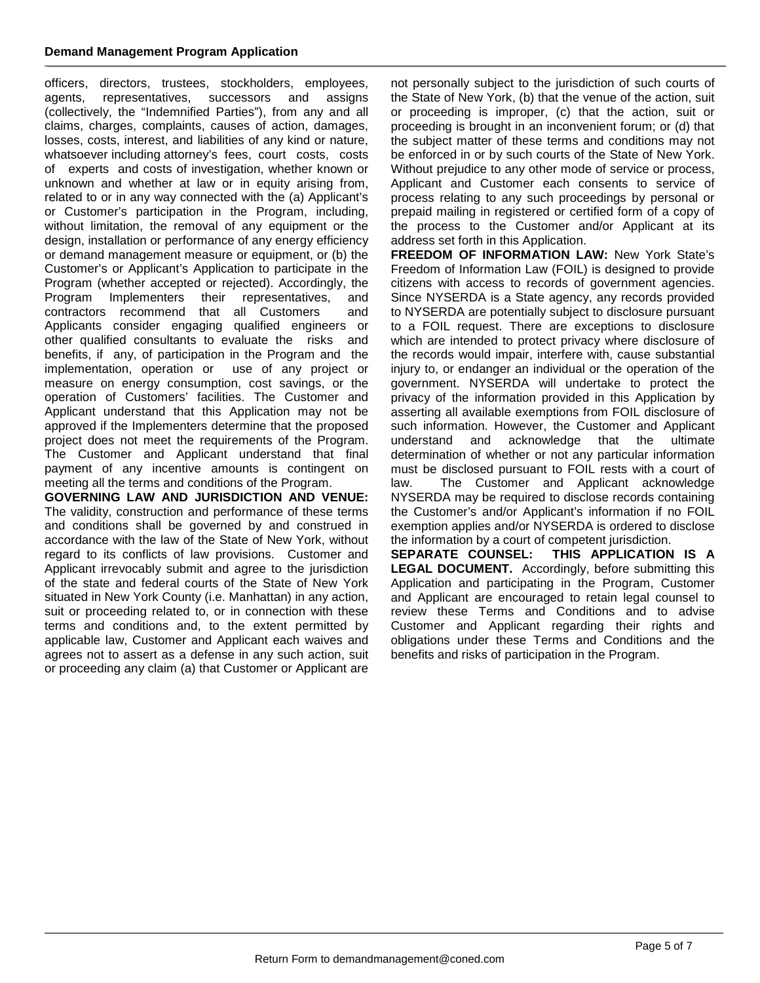## **Demand Management Program Application**

officers, directors, trustees, stockholders, employees, agents, representatives, successors and assigns (collectively, the "Indemnified Parties"), from any and all claims, charges, complaints, causes of action, damages, losses, costs, interest, and liabilities of any kind or nature, whatsoever including attorney's fees, court costs, costs of experts and costs of investigation, whether known or unknown and whether at law or in equity arising from, related to or in any way connected with the (a) Applicant's or Customer's participation in the Program, including, without limitation, the removal of any equipment or the design, installation or performance of any energy efficiency or demand management measure or equipment, or (b) the Customer's or Applicant's Application to participate in the Program (whether accepted or rejected). Accordingly, the Program Implementers their representatives, and contractors recommend that all Customers and Applicants consider engaging qualified engineers or other qualified consultants to evaluate the risks and benefits, if any, of participation in the Program and the implementation, operation or use of any project or measure on energy consumption, cost savings, or the operation of Customers' facilities. The Customer and Applicant understand that this Application may not be approved if the Implementers determine that the proposed project does not meet the requirements of the Program. The Customer and Applicant understand that final payment of any incentive amounts is contingent on meeting all the terms and conditions of the Program.

**GOVERNING LAW AND JURISDICTION AND VENUE:**  The validity, construction and performance of these terms and conditions shall be governed by and construed in accordance with the law of the State of New York, without regard to its conflicts of law provisions. Customer and Applicant irrevocably submit and agree to the jurisdiction of the state and federal courts of the State of New York situated in New York County (i.e. Manhattan) in any action, suit or proceeding related to, or in connection with these terms and conditions and, to the extent permitted by applicable law, Customer and Applicant each waives and agrees not to assert as a defense in any such action, suit or proceeding any claim (a) that Customer or Applicant are

not personally subject to the jurisdiction of such courts of the State of New York, (b) that the venue of the action, suit or proceeding is improper, (c) that the action, suit or proceeding is brought in an inconvenient forum; or (d) that the subject matter of these terms and conditions may not be enforced in or by such courts of the State of New York. Without prejudice to any other mode of service or process, Applicant and Customer each consents to service of process relating to any such proceedings by personal or prepaid mailing in registered or certified form of a copy of the process to the Customer and/or Applicant at its address set forth in this Application.

**FREEDOM OF INFORMATION LAW:** New York State's Freedom of Information Law (FOIL) is designed to provide citizens with access to records of government agencies. Since NYSERDA is a State agency, any records provided to NYSERDA are potentially subject to disclosure pursuant to a FOIL request. There are exceptions to disclosure which are intended to protect privacy where disclosure of the records would impair, interfere with, cause substantial injury to, or endanger an individual or the operation of the government. NYSERDA will undertake to protect the privacy of the information provided in this Application by asserting all available exemptions from FOIL disclosure of such information. However, the Customer and Applicant understand and acknowledge that the ultimate determination of whether or not any particular information must be disclosed pursuant to FOIL rests with a court of law. The Customer and Applicant acknowledge NYSERDA may be required to disclose records containing the Customer's and/or Applicant's information if no FOIL exemption applies and/or NYSERDA is ordered to disclose the information by a court of competent jurisdiction.<br>**SEPARATE COUNSEL: THIS APPLICATION** 

THIS APPLICATION IS A LEGAL DOCUMENT. Accordingly, before submitting this Application and participating in the Program, Customer and Applicant are encouraged to retain legal counsel to review these Terms and Conditions and to advise Customer and Applicant regarding their rights and obligations under these Terms and Conditions and the benefits and risks of participation in the Program.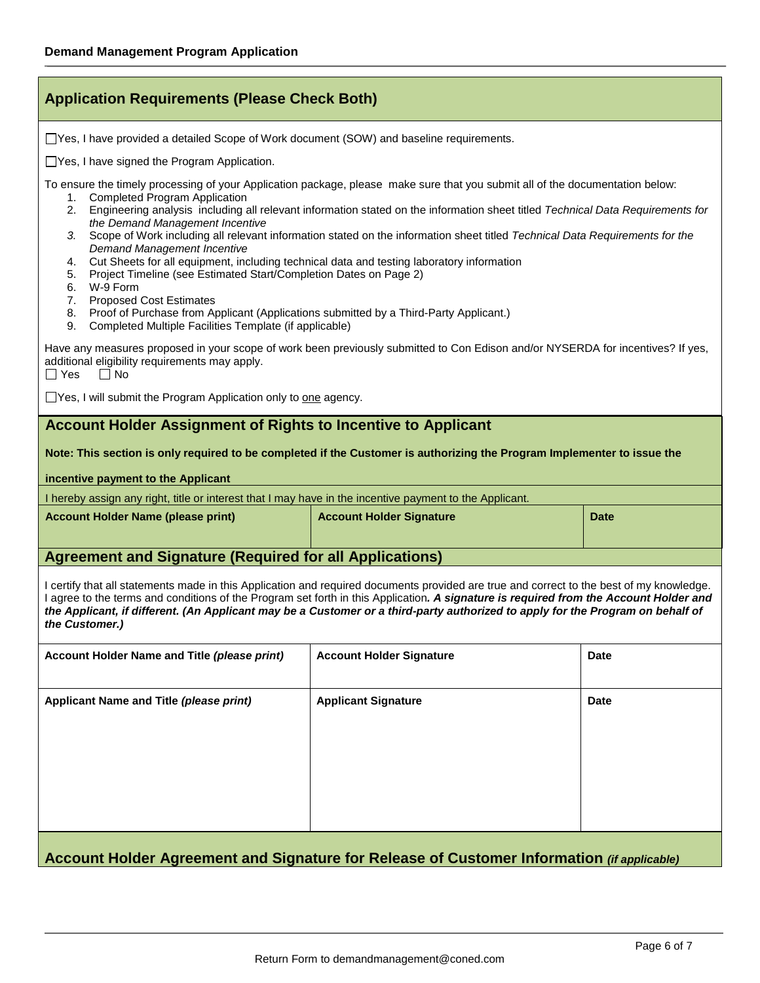| <b>Application Requirements (Please Check Both)</b>                                                                                                                                                                                                                                                                                                                                                                                                                                                                                                                                                                                                                                                                                                                                                                                                                                                                            |                                                                                                                                 |             |  |  |  |  |  |
|--------------------------------------------------------------------------------------------------------------------------------------------------------------------------------------------------------------------------------------------------------------------------------------------------------------------------------------------------------------------------------------------------------------------------------------------------------------------------------------------------------------------------------------------------------------------------------------------------------------------------------------------------------------------------------------------------------------------------------------------------------------------------------------------------------------------------------------------------------------------------------------------------------------------------------|---------------------------------------------------------------------------------------------------------------------------------|-------------|--|--|--|--|--|
| □ Yes, I have provided a detailed Scope of Work document (SOW) and baseline requirements.                                                                                                                                                                                                                                                                                                                                                                                                                                                                                                                                                                                                                                                                                                                                                                                                                                      |                                                                                                                                 |             |  |  |  |  |  |
| $\Box$ Yes, I have signed the Program Application.                                                                                                                                                                                                                                                                                                                                                                                                                                                                                                                                                                                                                                                                                                                                                                                                                                                                             |                                                                                                                                 |             |  |  |  |  |  |
| To ensure the timely processing of your Application package, please make sure that you submit all of the documentation below:<br>1. Completed Program Application<br>Engineering analysis including all relevant information stated on the information sheet titled Technical Data Requirements for<br>2.<br>the Demand Management Incentive<br>Scope of Work including all relevant information stated on the information sheet titled Technical Data Requirements for the<br>3.<br><b>Demand Management Incentive</b><br>Cut Sheets for all equipment, including technical data and testing laboratory information<br>4.<br>Project Timeline (see Estimated Start/Completion Dates on Page 2)<br>5.<br>W-9 Form<br>6.<br><b>Proposed Cost Estimates</b><br>7.<br>Proof of Purchase from Applicant (Applications submitted by a Third-Party Applicant.)<br>8.<br>Completed Multiple Facilities Template (if applicable)<br>9. |                                                                                                                                 |             |  |  |  |  |  |
| additional eligibility requirements may apply.<br>$\Box$ Yes<br>$\Box$ No                                                                                                                                                                                                                                                                                                                                                                                                                                                                                                                                                                                                                                                                                                                                                                                                                                                      | Have any measures proposed in your scope of work been previously submitted to Con Edison and/or NYSERDA for incentives? If yes, |             |  |  |  |  |  |
| $\Box$ Yes, I will submit the Program Application only to one agency.                                                                                                                                                                                                                                                                                                                                                                                                                                                                                                                                                                                                                                                                                                                                                                                                                                                          |                                                                                                                                 |             |  |  |  |  |  |
| <b>Account Holder Assignment of Rights to Incentive to Applicant</b><br>incentive payment to the Applicant                                                                                                                                                                                                                                                                                                                                                                                                                                                                                                                                                                                                                                                                                                                                                                                                                     | Note: This section is only required to be completed if the Customer is authorizing the Program Implementer to issue the         |             |  |  |  |  |  |
| I hereby assign any right, title or interest that I may have in the incentive payment to the Applicant.                                                                                                                                                                                                                                                                                                                                                                                                                                                                                                                                                                                                                                                                                                                                                                                                                        |                                                                                                                                 |             |  |  |  |  |  |
| <b>Account Holder Name (please print)</b><br><b>Account Holder Signature</b><br><b>Date</b>                                                                                                                                                                                                                                                                                                                                                                                                                                                                                                                                                                                                                                                                                                                                                                                                                                    |                                                                                                                                 |             |  |  |  |  |  |
| <b>Agreement and Signature (Required for all Applications)</b>                                                                                                                                                                                                                                                                                                                                                                                                                                                                                                                                                                                                                                                                                                                                                                                                                                                                 |                                                                                                                                 |             |  |  |  |  |  |
| I certify that all statements made in this Application and required documents provided are true and correct to the best of my knowledge.<br>I agree to the terms and conditions of the Program set forth in this Application. A signature is required from the Account Holder and<br>the Applicant, if different. (An Applicant may be a Customer or a third-party authorized to apply for the Program on behalf of<br>the Customer.)                                                                                                                                                                                                                                                                                                                                                                                                                                                                                          |                                                                                                                                 |             |  |  |  |  |  |
| Account Holder Name and Title (please print)                                                                                                                                                                                                                                                                                                                                                                                                                                                                                                                                                                                                                                                                                                                                                                                                                                                                                   | <b>Account Holder Signature</b>                                                                                                 | <b>Date</b> |  |  |  |  |  |
| Applicant Name and Title (please print)                                                                                                                                                                                                                                                                                                                                                                                                                                                                                                                                                                                                                                                                                                                                                                                                                                                                                        | <b>Applicant Signature</b>                                                                                                      | <b>Date</b> |  |  |  |  |  |
| Account Holder Agreement and Signature for Release of Customer Information (if applicable)                                                                                                                                                                                                                                                                                                                                                                                                                                                                                                                                                                                                                                                                                                                                                                                                                                     |                                                                                                                                 |             |  |  |  |  |  |